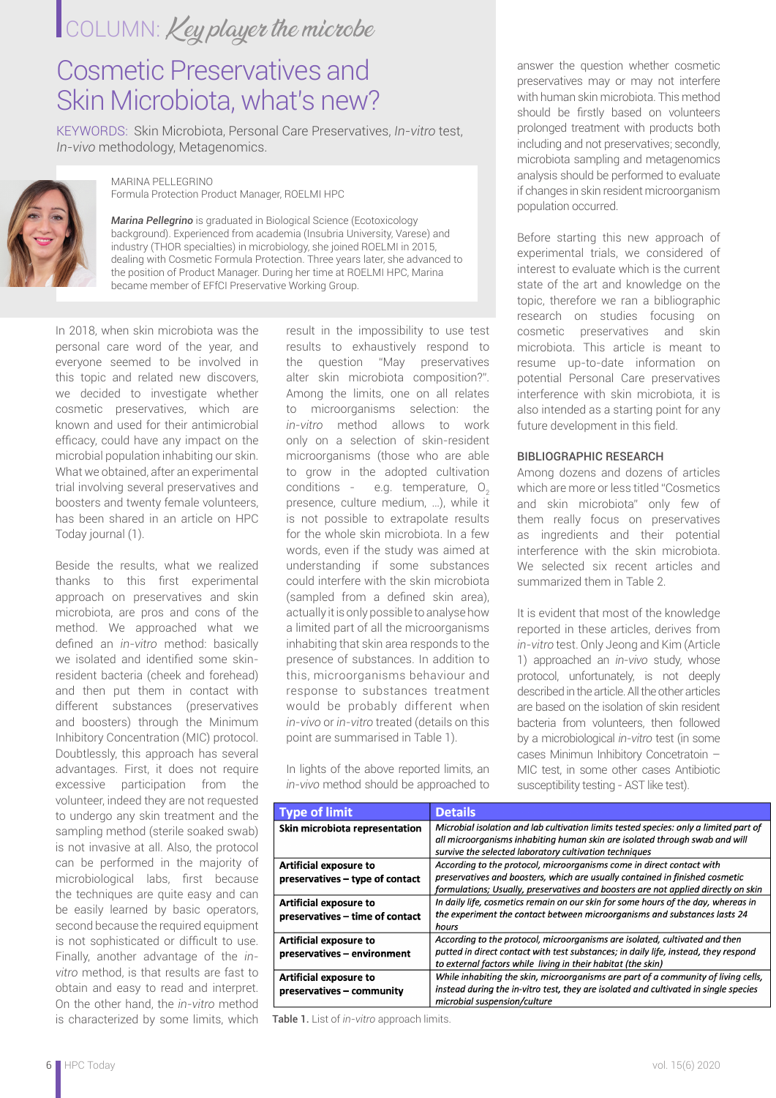## COLUMN: Key player the microbe

## Cosmetic Preservatives and Skin Microbiota, what's new?

KEYWORDS: Skin Microbiota, Personal Care Preservatives, *In-vitro* test, *In-vivo* methodology, Metagenomics.



MARINA PELLEGRINO Formula Protection Product Manager, ROELMI HPC

*Marina Pellegrino* is graduated in Biological Science (Ecotoxicology background). Experienced from academia (Insubria University, Varese) and industry (THOR specialties) in microbiology, she joined ROELMI in 2015, dealing with Cosmetic Formula Protection. Three years later, she advanced to the position of Product Manager. During her time at ROELMI HPC, Marina became member of EFfCI Preservative Working Group.

In 2018, when skin microbiota was the personal care word of the year, and everyone seemed to be involved in this topic and related new discovers, we decided to investigate whether cosmetic preservatives, which are known and used for their antimicrobial efficacy, could have any impact on the microbial population inhabiting our skin. What we obtained, after an experimental trial involving several preservatives and boosters and twenty female volunteers, has been shared in an article on HPC Today journal (1).

Beside the results, what we realized thanks to this first experimental approach on preservatives and skin microbiota, are pros and cons of the method. We approached what we defined an *in-vitro* method: basically we isolated and identified some skinresident bacteria (cheek and forehead) and then put them in contact with different substances (preservatives and boosters) through the Minimum Inhibitory Concentration (MIC) protocol. Doubtlessly, this approach has several advantages. First, it does not require excessive participation from the volunteer, indeed they are not requested to undergo any skin treatment and the sampling method (sterile soaked swab) is not invasive at all. Also, the protocol can be performed in the majority of microbiological labs, first because the techniques are quite easy and can be easily learned by basic operators, second because the required equipment is not sophisticated or difficult to use. Finally, another advantage of the *invitro* method, is that results are fast to obtain and easy to read and interpret. On the other hand, the *in-vitro* method is characterized by some limits, which Table 1. List of *in-vitro* approach limits.

result in the impossibility to use test results to exhaustively respond to the question "May preservatives alter skin microbiota composition?". Among the limits, one on all relates to microorganisms selection: the *in-vitro* method allows to work only on a selection of skin-resident microorganisms (those who are able to grow in the adopted cultivation conditions - e.g. temperature,  $O<sub>2</sub>$ presence, culture medium, …), while it is not possible to extrapolate results for the whole skin microbiota. In a few words, even if the study was aimed at understanding if some substances could interfere with the skin microbiota (sampled from a defined skin area), actually it is only possible to analyse how a limited part of all the microorganisms inhabiting that skin area responds to the presence of substances. In addition to this, microorganisms behaviour and response to substances treatment would be probably different when *in-vivo* or *in-vitro* treated (details on this point are summarised in Table 1).

In lights of the above reported limits, an *in-vivo* method should be approached to

answer the question whether cosmetic preservatives may or may not interfere with human skin microbiota. This method should be firstly based on volunteers prolonged treatment with products both including and not preservatives; secondly, microbiota sampling and metagenomics analysis should be performed to evaluate if changes in skin resident microorganism population occurred.

Before starting this new approach of experimental trials, we considered of interest to evaluate which is the current state of the art and knowledge on the topic, therefore we ran a bibliographic research on studies focusing on cosmetic preservatives and skin microbiota. This article is meant to resume up-to-date information on potential Personal Care preservatives interference with skin microbiota, it is also intended as a starting point for any future development in this field.

#### BIBLIOGRAPHIC RESEARCH

Among dozens and dozens of articles which are more or less titled "Cosmetics and skin microbiota" only few of them really focus on preservatives as ingredients and their potential interference with the skin microbiota. We selected six recent articles and summarized them in Table 2.

It is evident that most of the knowledge reported in these articles, derives from *in-vitro* test. Only Jeong and Kim (Article 1) approached an *in-vivo* study, whose protocol, unfortunately, is not deeply described in the article. All the other articles are based on the isolation of skin resident bacteria from volunteers, then followed by a microbiological *in-vitro* test (in some cases Minimun Inhibitory Concetratoin – MIC test, in some other cases Antibiotic susceptibility testing - AST like test).

| <b>Type of limit</b>                                             | <b>Details</b>                                                                                                                                                                                                                              |  |
|------------------------------------------------------------------|---------------------------------------------------------------------------------------------------------------------------------------------------------------------------------------------------------------------------------------------|--|
| Skin microbiota representation                                   | Microbial isolation and lab cultivation limits tested species: only a limited part of<br>all microorganisms inhabiting human skin are isolated through swab and will<br>survive the selected laboratory cultivation techniques              |  |
| Artificial exposure to<br>preservatives – type of contact        | Accordina to the protocol, microorganisms come in direct contact with<br>preservatives and boosters, which are usually contained in finished cosmetic<br>formulations; Usually, preservatives and boosters are not applied directly on skin |  |
| <b>Artificial exposure to</b><br>preservatives - time of contact | In daily life, cosmetics remain on our skin for some hours of the day, whereas in<br>the experiment the contact between microorganisms and substances lasts 24<br>hours                                                                     |  |
| <b>Artificial exposure to</b><br>preservatives - environment     | According to the protocol, microorganisms are isolated, cultivated and then<br>putted in direct contact with test substances; in daily life, instead, they respond<br>to external factors while living in their habitat (the skin)          |  |
| <b>Artificial exposure to</b><br>preservatives - community       | While inhabiting the skin, microorganisms are part of a community of living cells,<br>instead during the in-vitro test, they are isolated and cultivated in single species<br>microbial suspension/culture                                  |  |